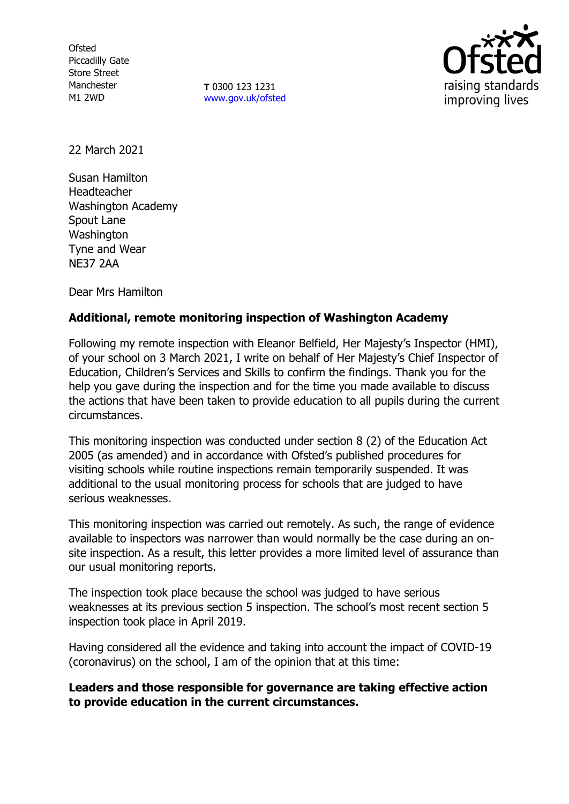**Ofsted** Piccadilly Gate Store Street Manchester M1 2WD

**T** 0300 123 1231 [www.gov.uk/ofsted](http://www.gov.uk/ofsted)



22 March 2021

Susan Hamilton Headteacher Washington Academy Spout Lane **Washington** Tyne and Wear NE37 2AA

Dear Mrs Hamilton

## **Additional, remote monitoring inspection of Washington Academy**

Following my remote inspection with Eleanor Belfield, Her Majesty's Inspector (HMI), of your school on 3 March 2021, I write on behalf of Her Majesty's Chief Inspector of Education, Children's Services and Skills to confirm the findings. Thank you for the help you gave during the inspection and for the time you made available to discuss the actions that have been taken to provide education to all pupils during the current circumstances.

This monitoring inspection was conducted under section 8 (2) of the Education Act 2005 (as amended) and in accordance with Ofsted's published procedures for visiting schools while routine inspections remain temporarily suspended. It was additional to the usual monitoring process for schools that are judged to have serious weaknesses.

This monitoring inspection was carried out remotely. As such, the range of evidence available to inspectors was narrower than would normally be the case during an onsite inspection. As a result, this letter provides a more limited level of assurance than our usual monitoring reports.

The inspection took place because the school was judged to have serious weaknesses at its previous section 5 inspection. The school's most recent section 5 inspection took place in April 2019.

Having considered all the evidence and taking into account the impact of COVID-19 (coronavirus) on the school, I am of the opinion that at this time:

**Leaders and those responsible for governance are taking effective action to provide education in the current circumstances.**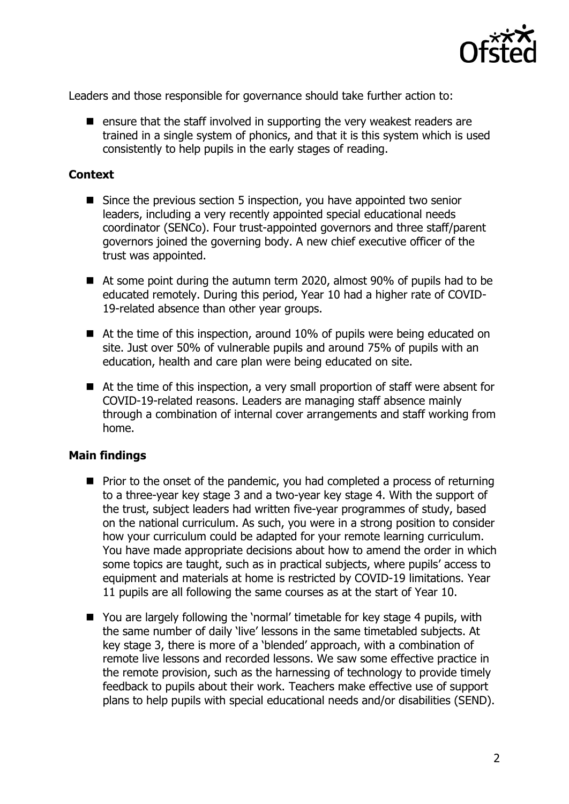

Leaders and those responsible for governance should take further action to:

 $\blacksquare$  ensure that the staff involved in supporting the very weakest readers are trained in a single system of phonics, and that it is this system which is used consistently to help pupils in the early stages of reading.

## **Context**

- Since the previous section 5 inspection, you have appointed two senior leaders, including a very recently appointed special educational needs coordinator (SENCo). Four trust-appointed governors and three staff/parent governors joined the governing body. A new chief executive officer of the trust was appointed.
- At some point during the autumn term 2020, almost 90% of pupils had to be educated remotely. During this period, Year 10 had a higher rate of COVID-19-related absence than other year groups.
- At the time of this inspection, around 10% of pupils were being educated on site. Just over 50% of vulnerable pupils and around 75% of pupils with an education, health and care plan were being educated on site.
- At the time of this inspection, a very small proportion of staff were absent for COVID-19-related reasons. Leaders are managing staff absence mainly through a combination of internal cover arrangements and staff working from home.

## **Main findings**

- $\blacksquare$  Prior to the onset of the pandemic, you had completed a process of returning to a three-year key stage 3 and a two-year key stage 4. With the support of the trust, subject leaders had written five-year programmes of study, based on the national curriculum. As such, you were in a strong position to consider how your curriculum could be adapted for your remote learning curriculum. You have made appropriate decisions about how to amend the order in which some topics are taught, such as in practical subjects, where pupils' access to equipment and materials at home is restricted by COVID-19 limitations. Year 11 pupils are all following the same courses as at the start of Year 10.
- You are largely following the 'normal' timetable for key stage 4 pupils, with the same number of daily 'live' lessons in the same timetabled subjects. At key stage 3, there is more of a 'blended' approach, with a combination of remote live lessons and recorded lessons. We saw some effective practice in the remote provision, such as the harnessing of technology to provide timely feedback to pupils about their work. Teachers make effective use of support plans to help pupils with special educational needs and/or disabilities (SEND).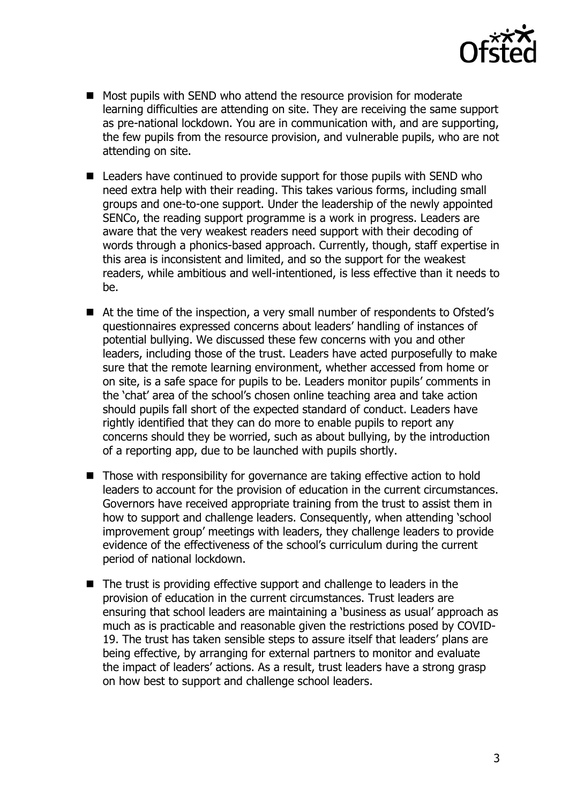

- Most pupils with SEND who attend the resource provision for moderate learning difficulties are attending on site. They are receiving the same support as pre-national lockdown. You are in communication with, and are supporting, the few pupils from the resource provision, and vulnerable pupils, who are not attending on site.
- Leaders have continued to provide support for those pupils with SEND who need extra help with their reading. This takes various forms, including small groups and one-to-one support. Under the leadership of the newly appointed SENCo, the reading support programme is a work in progress. Leaders are aware that the very weakest readers need support with their decoding of words through a phonics-based approach. Currently, though, staff expertise in this area is inconsistent and limited, and so the support for the weakest readers, while ambitious and well-intentioned, is less effective than it needs to be.
- At the time of the inspection, a very small number of respondents to Ofsted's questionnaires expressed concerns about leaders' handling of instances of potential bullying. We discussed these few concerns with you and other leaders, including those of the trust. Leaders have acted purposefully to make sure that the remote learning environment, whether accessed from home or on site, is a safe space for pupils to be. Leaders monitor pupils' comments in the 'chat' area of the school's chosen online teaching area and take action should pupils fall short of the expected standard of conduct. Leaders have rightly identified that they can do more to enable pupils to report any concerns should they be worried, such as about bullying, by the introduction of a reporting app, due to be launched with pupils shortly.
- Those with responsibility for governance are taking effective action to hold leaders to account for the provision of education in the current circumstances. Governors have received appropriate training from the trust to assist them in how to support and challenge leaders. Consequently, when attending 'school improvement group' meetings with leaders, they challenge leaders to provide evidence of the effectiveness of the school's curriculum during the current period of national lockdown.
- $\blacksquare$  The trust is providing effective support and challenge to leaders in the provision of education in the current circumstances. Trust leaders are ensuring that school leaders are maintaining a 'business as usual' approach as much as is practicable and reasonable given the restrictions posed by COVID-19. The trust has taken sensible steps to assure itself that leaders' plans are being effective, by arranging for external partners to monitor and evaluate the impact of leaders' actions. As a result, trust leaders have a strong grasp on how best to support and challenge school leaders.